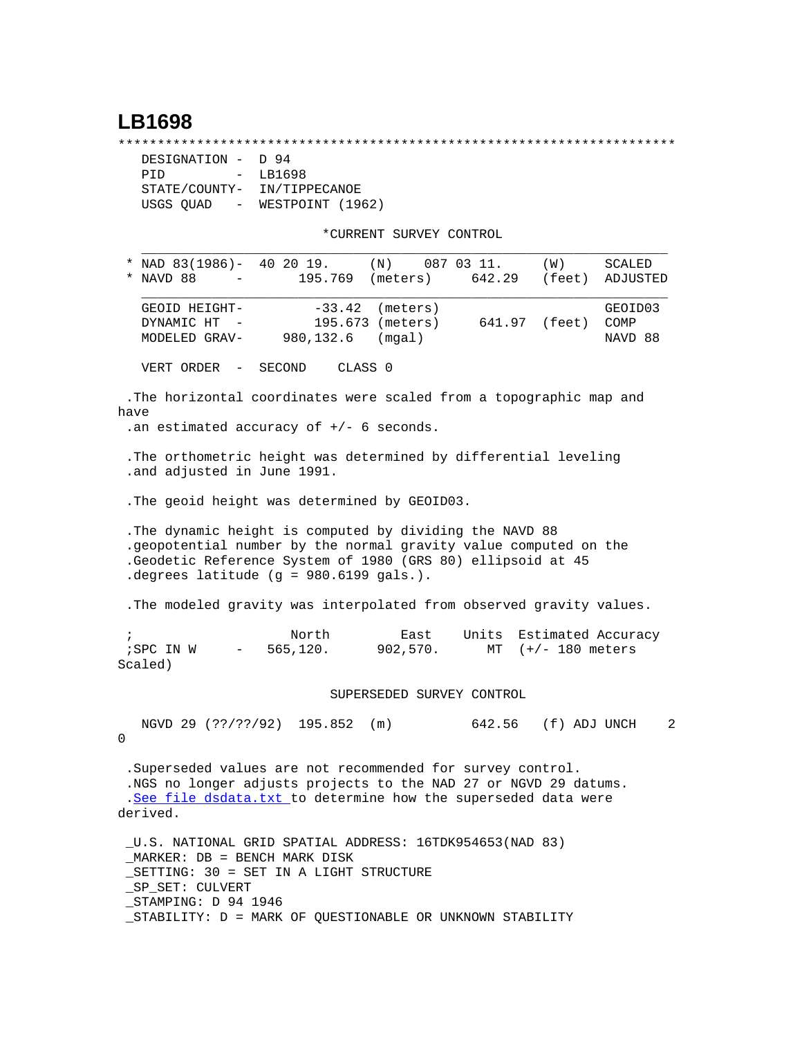## **LB1698**

\*\*\*\*\*\*\*\*\*\*\*\*\*\*\*\*\*\*\*\*\*\*\*\*\*\*\*\*\*\*\*\*\*\*\*\*\*\*\*\*\*\*\*\*\*\*\*\*\*\*\*\*\*\*\*\*\*\*\*\*\*\*\*\*\*\*\*\*\*\*\*

| DESIGNATION - D 94                    |                  |  |  |
|---------------------------------------|------------------|--|--|
| PTD<br>$-$                            | LB1698           |  |  |
| STATE/COUNTY-                         | IN/TIPPECANOE    |  |  |
| USGS QUAD<br>$\sim$ 100 $-$ 100 $\pm$ | WESTPOINT (1962) |  |  |

\*CURRENT SURVEY CONTROL

| NAD 83(1986)- 40 20 19.<br>(N)<br>087 03 11.<br>(W)<br>195.769 (meters)<br>NAVD 88<br>642.29<br>(feet)                                                                                                                                   | SCALED<br>ADJUSTED         |
|------------------------------------------------------------------------------------------------------------------------------------------------------------------------------------------------------------------------------------------|----------------------------|
| $-33.42$<br>GEOID HEIGHT-<br>(meters)<br>195.673 (meters)<br>641.97 (feet)<br>DYNAMIC HT<br>MODELED GRAV-<br>980,132.6<br>(mqal)                                                                                                         | GEOID03<br>COMP<br>NAVD 88 |
| VERT ORDER<br>CLASS <sub>0</sub><br>SECOND<br>$\overline{\phantom{m}}$                                                                                                                                                                   |                            |
| .The horizontal coordinates were scaled from a topographic map and<br>have<br>.an estimated accuracy of $+/-$ 6 seconds.                                                                                                                 |                            |
| . The orthometric height was determined by differential leveling<br>.and adjusted in June 1991.                                                                                                                                          |                            |
| . The geoid height was determined by GEOID03.                                                                                                                                                                                            |                            |
| . The dynamic height is computed by dividing the NAVD 88<br>.geopotential number by the normal gravity value computed on the<br>.Geodetic Reference System of 1980 (GRS 80) ellipsoid at 45<br>.degrees latitude (g = 980.6199 gals.).   |                            |
| . The modeled gravity was interpolated from observed gravity values.                                                                                                                                                                     |                            |
| North<br>East<br>Units<br>$\ddot{i}$<br>565, 120.<br>902,570.<br>$MT$ $(+/- 180$ meters<br>;SPC IN W<br>$\qquad \qquad -$<br>Scaled)                                                                                                     | Estimated Accuracy         |
| SUPERSEDED SURVEY CONTROL                                                                                                                                                                                                                |                            |
| NGVD 29 (??/??/92) 195.852<br>642.56 (f) ADJ UNCH<br>(m)<br>0                                                                                                                                                                            | 2                          |
| .Superseded values are not recommended for survey control.<br>.NGS no longer adjusts projects to the NAD 27 or NGVD 29 datums.<br>.See file dsdata.txt to determine how the superseded data were<br>derived.                             |                            |
| _U.S. NATIONAL GRID SPATIAL ADDRESS: 16TDK954653(NAD 83)<br>MARKER: DB = BENCH MARK DISK<br>SETTING: 30 = SET IN A LIGHT STRUCTURE<br>SP SET: CULVERT<br>STAMPING: D 94 1946<br>STABILITY: D = MARK OF QUESTIONABLE OR UNKNOWN STABILITY |                            |